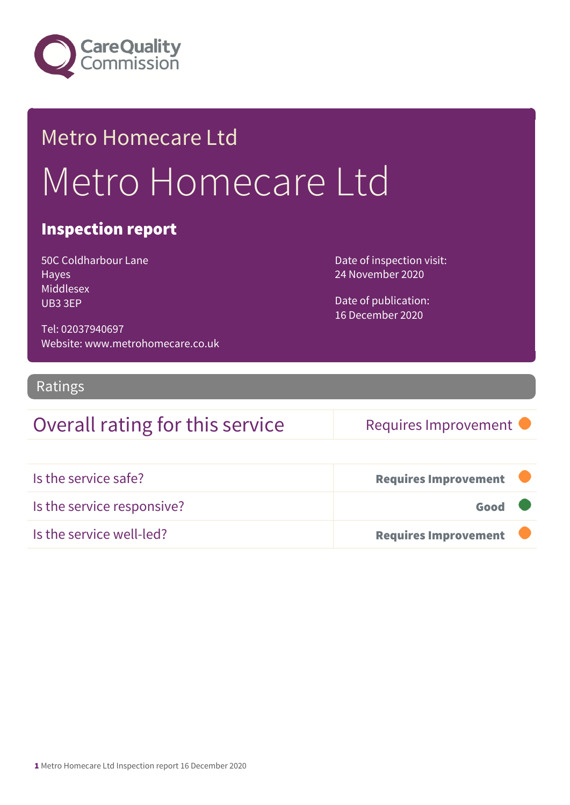

## Metro Homecare Ltd Metro Homecare Ltd

#### Inspection report

50C Coldharbour Lane Hayes Middlesex UB3 3EP

Date of inspection visit: 24 November 2020

Date of publication: 16 December 2020

Tel: 02037940697 Website: www.metrohomecare.co.uk

#### Ratings

### Overall rating for this service Requires Improvement

| Is the service safe?       | <b>Requires Improvement</b> |  |
|----------------------------|-----------------------------|--|
| Is the service responsive? | Good                        |  |
| Is the service well-led?   | <b>Requires Improvement</b> |  |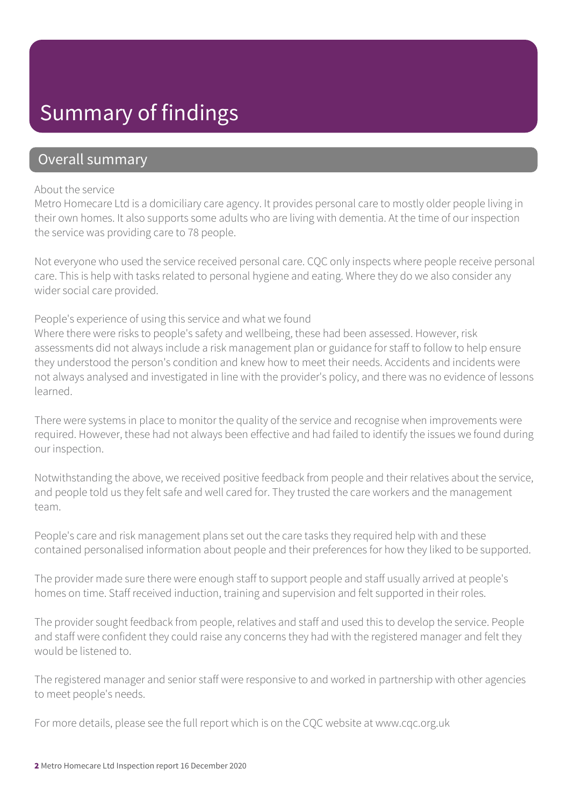### Summary of findings

#### Overall summary

#### About the service

Metro Homecare Ltd is a domiciliary care agency. It provides personal care to mostly older people living in their own homes. It also supports some adults who are living with dementia. At the time of our inspection the service was providing care to 78 people.

Not everyone who used the service received personal care. CQC only inspects where people receive personal care. This is help with tasks related to personal hygiene and eating. Where they do we also consider any wider social care provided.

People's experience of using this service and what we found

Where there were risks to people's safety and wellbeing, these had been assessed. However, risk assessments did not always include a risk management plan or guidance for staff to follow to help ensure they understood the person's condition and knew how to meet their needs. Accidents and incidents were not always analysed and investigated in line with the provider's policy, and there was no evidence of lessons learned.

There were systems in place to monitor the quality of the service and recognise when improvements were required. However, these had not always been effective and had failed to identify the issues we found during our inspection.

Notwithstanding the above, we received positive feedback from people and their relatives about the service, and people told us they felt safe and well cared for. They trusted the care workers and the management team.

People's care and risk management plans set out the care tasks they required help with and these contained personalised information about people and their preferences for how they liked to be supported.

The provider made sure there were enough staff to support people and staff usually arrived at people's homes on time. Staff received induction, training and supervision and felt supported in their roles.

The provider sought feedback from people, relatives and staff and used this to develop the service. People and staff were confident they could raise any concerns they had with the registered manager and felt they would be listened to.

The registered manager and senior staff were responsive to and worked in partnership with other agencies to meet people's needs.

For more details, please see the full report which is on the CQC website at www.cqc.org.uk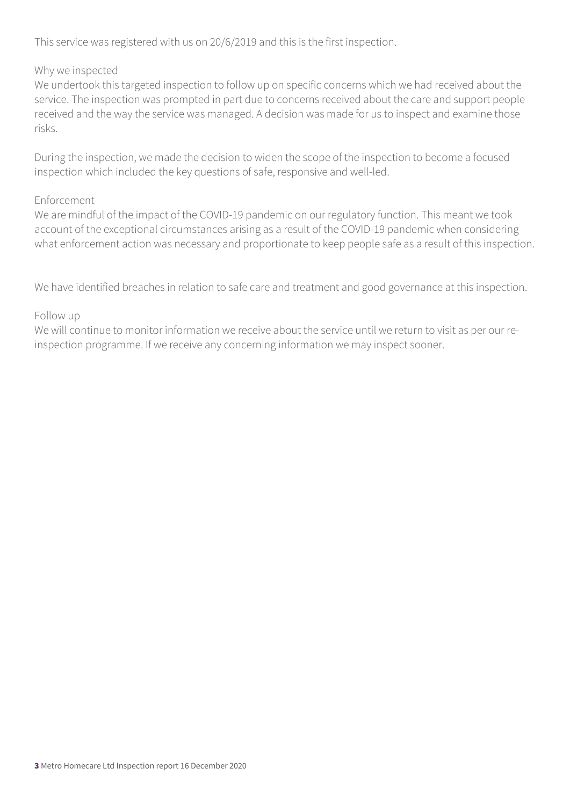This service was registered with us on 20/6/2019 and this is the first inspection.

#### Why we inspected

We undertook this targeted inspection to follow up on specific concerns which we had received about the service. The inspection was prompted in part due to concerns received about the care and support people received and the way the service was managed. A decision was made for us to inspect and examine those risks.

During the inspection, we made the decision to widen the scope of the inspection to become a focused inspection which included the key questions of safe, responsive and well-led.

#### Enforcement

We are mindful of the impact of the COVID-19 pandemic on our regulatory function. This meant we took account of the exceptional circumstances arising as a result of the COVID-19 pandemic when considering what enforcement action was necessary and proportionate to keep people safe as a result of this inspection.

We have identified breaches in relation to safe care and treatment and good governance at this inspection.

#### Follow up

We will continue to monitor information we receive about the service until we return to visit as per our reinspection programme. If we receive any concerning information we may inspect sooner.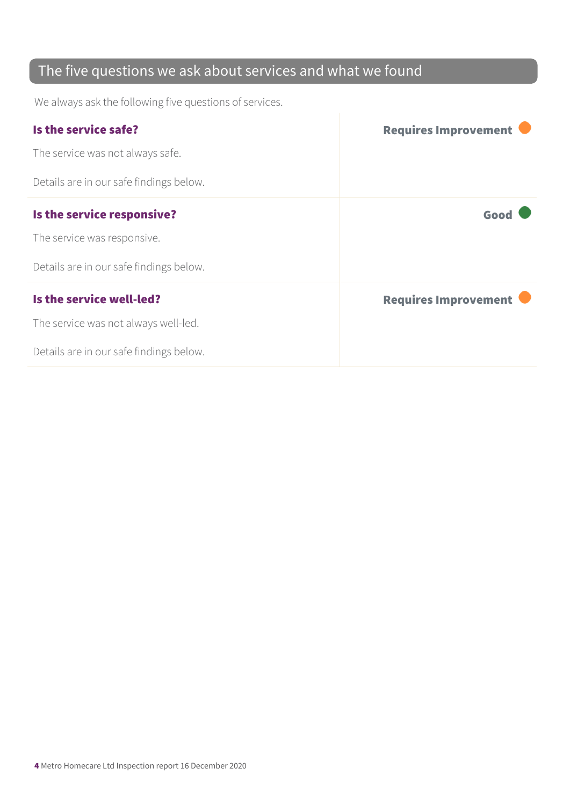### The five questions we ask about services and what we found

We always ask the following five questions of services.

| Is the service safe?                    | <b>Requires Improvement</b> |
|-----------------------------------------|-----------------------------|
| The service was not always safe.        |                             |
| Details are in our safe findings below. |                             |
| Is the service responsive?              | Good                        |
| The service was responsive.             |                             |
| Details are in our safe findings below. |                             |
| Is the service well-led?                | <b>Requires Improvement</b> |
| The service was not always well-led.    |                             |
| Details are in our safe findings below. |                             |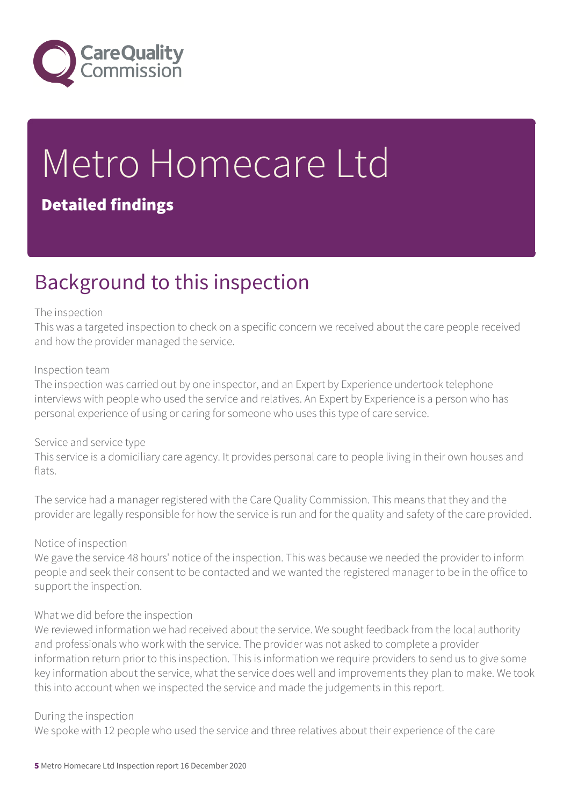

# Metro Homecare Ltd

#### Detailed findings

### Background to this inspection

#### The inspection

This was a targeted inspection to check on a specific concern we received about the care people received and how the provider managed the service.

#### Inspection team

The inspection was carried out by one inspector, and an Expert by Experience undertook telephone interviews with people who used the service and relatives. An Expert by Experience is a person who has personal experience of using or caring for someone who uses this type of care service.

#### Service and service type

This service is a domiciliary care agency. It provides personal care to people living in their own houses and flats.

The service had a manager registered with the Care Quality Commission. This means that they and the provider are legally responsible for how the service is run and for the quality and safety of the care provided.

#### Notice of inspection

We gave the service 48 hours' notice of the inspection. This was because we needed the provider to inform people and seek their consent to be contacted and we wanted the registered manager to be in the office to support the inspection.

#### What we did before the inspection

We reviewed information we had received about the service. We sought feedback from the local authority and professionals who work with the service. The provider was not asked to complete a provider information return prior to this inspection. This is information we require providers to send us to give some key information about the service, what the service does well and improvements they plan to make. We took this into account when we inspected the service and made the judgements in this report.

#### During the inspection

We spoke with 12 people who used the service and three relatives about their experience of the care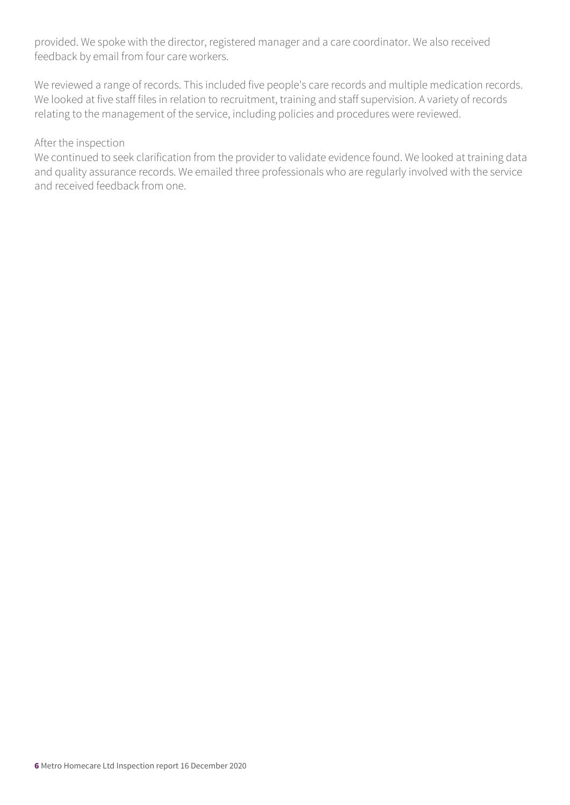provided. We spoke with the director, registered manager and a care coordinator. We also received feedback by email from four care workers.

We reviewed a range of records. This included five people's care records and multiple medication records. We looked at five staff files in relation to recruitment, training and staff supervision. A variety of records relating to the management of the service, including policies and procedures were reviewed.

#### After the inspection

We continued to seek clarification from the provider to validate evidence found. We looked at training data and quality assurance records. We emailed three professionals who are regularly involved with the service and received feedback from one.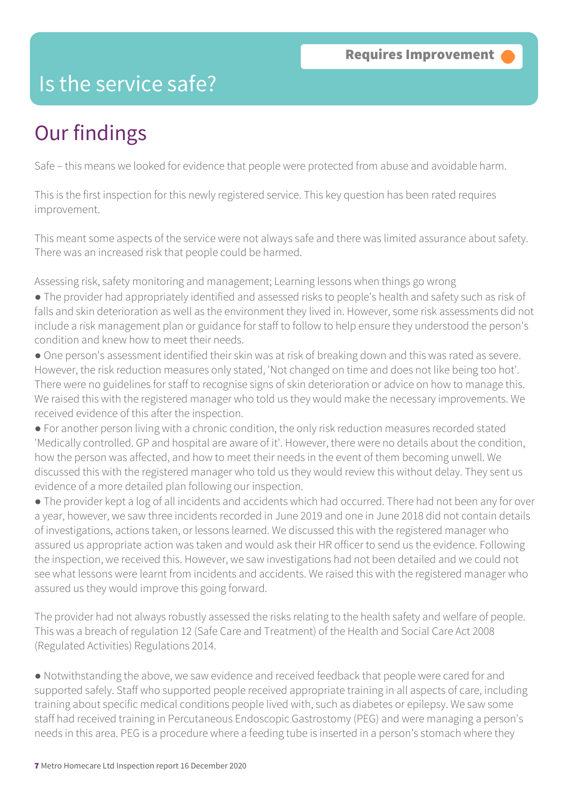### Is the service safe?

### Our findings

Safe – this means we looked for evidence that people were protected from abuse and avoidable harm.

This is the first inspection for this newly registered service. This key question has been rated requires improvement.

This meant some aspects of the service were not always safe and there was limited assurance about safety. There was an increased risk that people could be harmed.

Assessing risk, safety monitoring and management; Learning lessons when things go wrong

- The provider had appropriately identified and assessed risks to people's health and safety such as risk of falls and skin deterioration as well as the environment they lived in. However, some risk assessments did not include a risk management plan or guidance for staff to follow to help ensure they understood the person's condition and knew how to meet their needs.
- One person's assessment identified their skin was at risk of breaking down and this was rated as severe. However, the risk reduction measures only stated, 'Not changed on time and does not like being too hot'. There were no guidelines for staff to recognise signs of skin deterioration or advice on how to manage this. We raised this with the registered manager who told us they would make the necessary improvements. We received evidence of this after the inspection.
- For another person living with a chronic condition, the only risk reduction measures recorded stated 'Medically controlled. GP and hospital are aware of it'. However, there were no details about the condition, how the person was affected, and how to meet their needs in the event of them becoming unwell. We discussed this with the registered manager who told us they would review this without delay. They sent us evidence of a more detailed plan following our inspection.
- The provider kept a log of all incidents and accidents which had occurred. There had not been any for over a year, however, we saw three incidents recorded in June 2019 and one in June 2018 did not contain details of investigations, actions taken, or lessons learned. We discussed this with the registered manager who assured us appropriate action was taken and would ask their HR officer to send us the evidence. Following the inspection, we received this. However, we saw investigations had not been detailed and we could not see what lessons were learnt from incidents and accidents. We raised this with the registered manager who assured us they would improve this going forward.

The provider had not always robustly assessed the risks relating to the health safety and welfare of people. This was a breach of regulation 12 (Safe Care and Treatment) of the Health and Social Care Act 2008 (Regulated Activities) Regulations 2014.

● Notwithstanding the above, we saw evidence and received feedback that people were cared for and supported safely. Staff who supported people received appropriate training in all aspects of care, including training about specific medical conditions people lived with, such as diabetes or epilepsy. We saw some staff had received training in Percutaneous Endoscopic Gastrostomy (PEG) and were managing a person's needs in this area. PEG is a procedure where a feeding tube is inserted in a person's stomach where they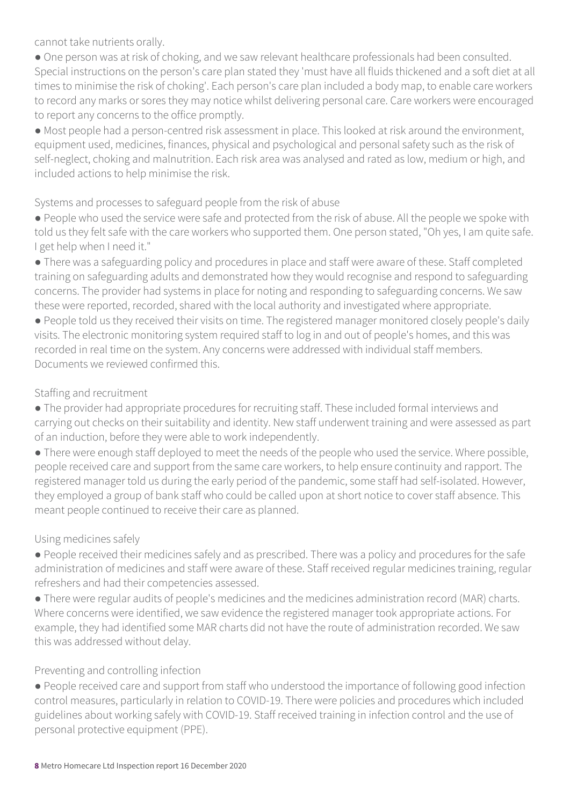cannot take nutrients orally.

● One person was at risk of choking, and we saw relevant healthcare professionals had been consulted. Special instructions on the person's care plan stated they 'must have all fluids thickened and a soft diet at all times to minimise the risk of choking'. Each person's care plan included a body map, to enable care workers to record any marks or sores they may notice whilst delivering personal care. Care workers were encouraged to report any concerns to the office promptly.

● Most people had a person-centred risk assessment in place. This looked at risk around the environment, equipment used, medicines, finances, physical and psychological and personal safety such as the risk of self-neglect, choking and malnutrition. Each risk area was analysed and rated as low, medium or high, and included actions to help minimise the risk.

#### Systems and processes to safeguard people from the risk of abuse

● People who used the service were safe and protected from the risk of abuse. All the people we spoke with told us they felt safe with the care workers who supported them. One person stated, "Oh yes, I am quite safe. I get help when I need it."

• There was a safeguarding policy and procedures in place and staff were aware of these. Staff completed training on safeguarding adults and demonstrated how they would recognise and respond to safeguarding concerns. The provider had systems in place for noting and responding to safeguarding concerns. We saw these were reported, recorded, shared with the local authority and investigated where appropriate.

● People told us they received their visits on time. The registered manager monitored closely people's daily visits. The electronic monitoring system required staff to log in and out of people's homes, and this was recorded in real time on the system. Any concerns were addressed with individual staff members. Documents we reviewed confirmed this.

#### Staffing and recruitment

● The provider had appropriate procedures for recruiting staff. These included formal interviews and carrying out checks on their suitability and identity. New staff underwent training and were assessed as part of an induction, before they were able to work independently.

● There were enough staff deployed to meet the needs of the people who used the service. Where possible, people received care and support from the same care workers, to help ensure continuity and rapport. The registered manager told us during the early period of the pandemic, some staff had self-isolated. However, they employed a group of bank staff who could be called upon at short notice to cover staff absence. This meant people continued to receive their care as planned.

#### Using medicines safely

● People received their medicines safely and as prescribed. There was a policy and procedures for the safe administration of medicines and staff were aware of these. Staff received regular medicines training, regular refreshers and had their competencies assessed.

● There were regular audits of people's medicines and the medicines administration record (MAR) charts. Where concerns were identified, we saw evidence the registered manager took appropriate actions. For example, they had identified some MAR charts did not have the route of administration recorded. We saw this was addressed without delay.

#### Preventing and controlling infection

● People received care and support from staff who understood the importance of following good infection control measures, particularly in relation to COVID-19. There were policies and procedures which included guidelines about working safely with COVID-19. Staff received training in infection control and the use of personal protective equipment (PPE).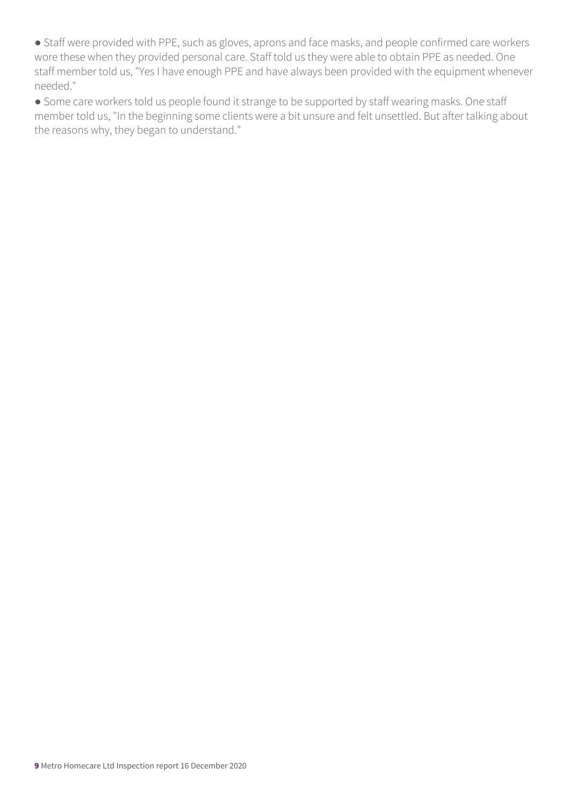● Staff were provided with PPE, such as gloves, aprons and face masks, and people confirmed care workers wore these when they provided personal care. Staff told us they were able to obtain PPE as needed. One staff member told us, "Yes I have enough PPE and have always been provided with the equipment whenever needed."

● Some care workers told us people found it strange to be supported by staff wearing masks. One staff member told us, "In the beginning some clients were a bit unsure and felt unsettled. But after talking about the reasons why, they began to understand."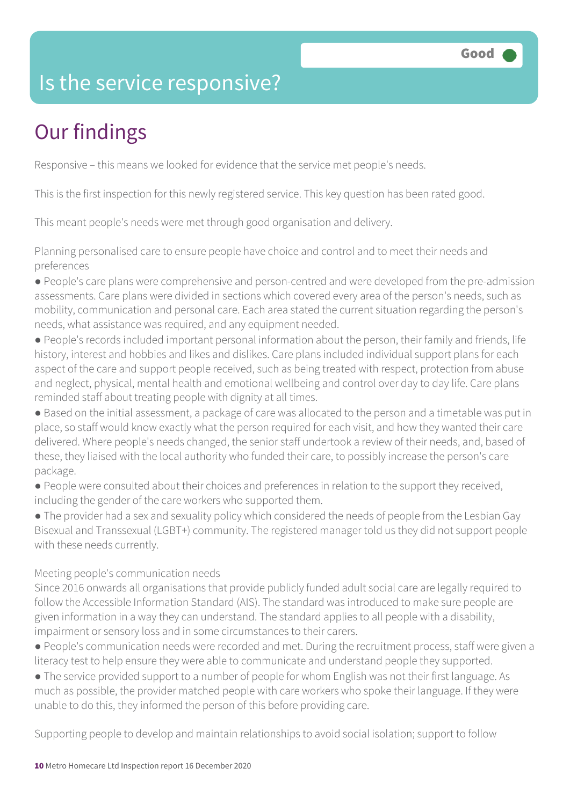### Is the service responsive?

### Our findings

Responsive – this means we looked for evidence that the service met people's needs.

This is the first inspection for this newly registered service. This key question has been rated good.

This meant people's needs were met through good organisation and delivery.

Planning personalised care to ensure people have choice and control and to meet their needs and preferences

- People's care plans were comprehensive and person-centred and were developed from the pre-admission assessments. Care plans were divided in sections which covered every area of the person's needs, such as mobility, communication and personal care. Each area stated the current situation regarding the person's needs, what assistance was required, and any equipment needed.
- People's records included important personal information about the person, their family and friends, life history, interest and hobbies and likes and dislikes. Care plans included individual support plans for each aspect of the care and support people received, such as being treated with respect, protection from abuse and neglect, physical, mental health and emotional wellbeing and control over day to day life. Care plans reminded staff about treating people with dignity at all times.
- Based on the initial assessment, a package of care was allocated to the person and a timetable was put in place, so staff would know exactly what the person required for each visit, and how they wanted their care delivered. Where people's needs changed, the senior staff undertook a review of their needs, and, based of these, they liaised with the local authority who funded their care, to possibly increase the person's care package.
- People were consulted about their choices and preferences in relation to the support they received, including the gender of the care workers who supported them.

• The provider had a sex and sexuality policy which considered the needs of people from the Lesbian Gay Bisexual and Transsexual (LGBT+) community. The registered manager told us they did not support people with these needs currently.

#### Meeting people's communication needs

Since 2016 onwards all organisations that provide publicly funded adult social care are legally required to follow the Accessible Information Standard (AIS). The standard was introduced to make sure people are given information in a way they can understand. The standard applies to all people with a disability, impairment or sensory loss and in some circumstances to their carers.

- People's communication needs were recorded and met. During the recruitment process, staff were given a literacy test to help ensure they were able to communicate and understand people they supported.
- The service provided support to a number of people for whom English was not their first language. As much as possible, the provider matched people with care workers who spoke their language. If they were unable to do this, they informed the person of this before providing care.

Supporting people to develop and maintain relationships to avoid social isolation; support to follow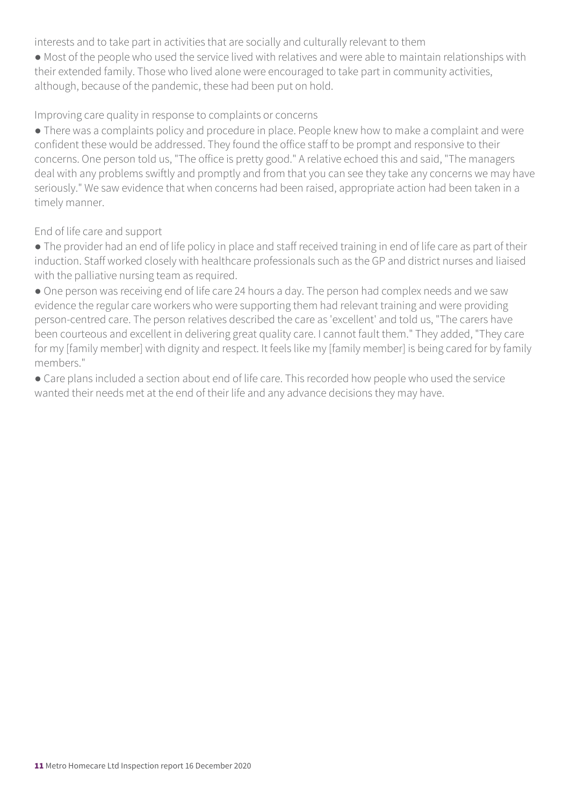interests and to take part in activities that are socially and culturally relevant to them

● Most of the people who used the service lived with relatives and were able to maintain relationships with their extended family. Those who lived alone were encouraged to take part in community activities, although, because of the pandemic, these had been put on hold.

#### Improving care quality in response to complaints or concerns

● There was a complaints policy and procedure in place. People knew how to make a complaint and were confident these would be addressed. They found the office staff to be prompt and responsive to their concerns. One person told us, "The office is pretty good." A relative echoed this and said, "The managers deal with any problems swiftly and promptly and from that you can see they take any concerns we may have seriously." We saw evidence that when concerns had been raised, appropriate action had been taken in a timely manner.

End of life care and support

- The provider had an end of life policy in place and staff received training in end of life care as part of their induction. Staff worked closely with healthcare professionals such as the GP and district nurses and liaised with the palliative nursing team as required.
- One person was receiving end of life care 24 hours a day. The person had complex needs and we saw evidence the regular care workers who were supporting them had relevant training and were providing person-centred care. The person relatives described the care as 'excellent' and told us, "The carers have been courteous and excellent in delivering great quality care. I cannot fault them." They added, "They care for my [family member] with dignity and respect. It feels like my [family member] is being cared for by family members."
- Care plans included a section about end of life care. This recorded how people who used the service wanted their needs met at the end of their life and any advance decisions they may have.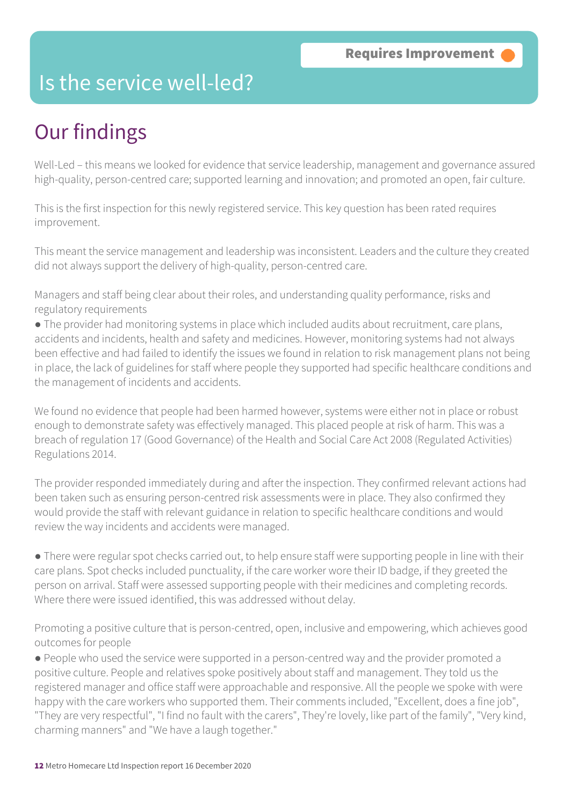### Is the service well-led?

### Our findings

Well-Led – this means we looked for evidence that service leadership, management and governance assured high-quality, person-centred care; supported learning and innovation; and promoted an open, fair culture.

This is the first inspection for this newly registered service. This key question has been rated requires improvement.

This meant the service management and leadership was inconsistent. Leaders and the culture they created did not always support the delivery of high-quality, person-centred care.

Managers and staff being clear about their roles, and understanding quality performance, risks and regulatory requirements

● The provider had monitoring systems in place which included audits about recruitment, care plans, accidents and incidents, health and safety and medicines. However, monitoring systems had not always been effective and had failed to identify the issues we found in relation to risk management plans not being in place, the lack of guidelines for staff where people they supported had specific healthcare conditions and the management of incidents and accidents.

We found no evidence that people had been harmed however, systems were either not in place or robust enough to demonstrate safety was effectively managed. This placed people at risk of harm. This was a breach of regulation 17 (Good Governance) of the Health and Social Care Act 2008 (Regulated Activities) Regulations 2014.

The provider responded immediately during and after the inspection. They confirmed relevant actions had been taken such as ensuring person-centred risk assessments were in place. They also confirmed they would provide the staff with relevant guidance in relation to specific healthcare conditions and would review the way incidents and accidents were managed.

● There were regular spot checks carried out, to help ensure staff were supporting people in line with their care plans. Spot checks included punctuality, if the care worker wore their ID badge, if they greeted the person on arrival. Staff were assessed supporting people with their medicines and completing records. Where there were issued identified, this was addressed without delay.

Promoting a positive culture that is person-centred, open, inclusive and empowering, which achieves good outcomes for people

● People who used the service were supported in a person-centred way and the provider promoted a positive culture. People and relatives spoke positively about staff and management. They told us the registered manager and office staff were approachable and responsive. All the people we spoke with were happy with the care workers who supported them. Their comments included, "Excellent, does a fine job", "They are very respectful", "I find no fault with the carers", They're lovely, like part of the family", "Very kind, charming manners" and "We have a laugh together."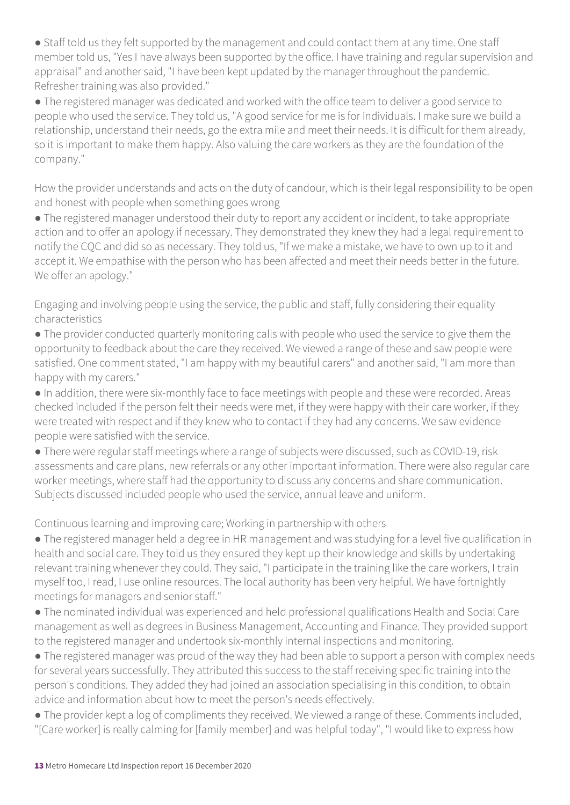• Staff told us they felt supported by the management and could contact them at any time. One staff member told us, "Yes I have always been supported by the office. I have training and regular supervision and appraisal" and another said, "I have been kept updated by the manager throughout the pandemic. Refresher training was also provided."

● The registered manager was dedicated and worked with the office team to deliver a good service to people who used the service. They told us, "A good service for me is for individuals. I make sure we build a relationship, understand their needs, go the extra mile and meet their needs. It is difficult for them already, so it is important to make them happy. Also valuing the care workers as they are the foundation of the company."

How the provider understands and acts on the duty of candour, which is their legal responsibility to be open and honest with people when something goes wrong

● The registered manager understood their duty to report any accident or incident, to take appropriate action and to offer an apology if necessary. They demonstrated they knew they had a legal requirement to notify the CQC and did so as necessary. They told us, "If we make a mistake, we have to own up to it and accept it. We empathise with the person who has been affected and meet their needs better in the future. We offer an apology."

Engaging and involving people using the service, the public and staff, fully considering their equality characteristics

● The provider conducted quarterly monitoring calls with people who used the service to give them the opportunity to feedback about the care they received. We viewed a range of these and saw people were satisfied. One comment stated, "I am happy with my beautiful carers" and another said, "I am more than happy with my carers."

● In addition, there were six-monthly face to face meetings with people and these were recorded. Areas checked included if the person felt their needs were met, if they were happy with their care worker, if they were treated with respect and if they knew who to contact if they had any concerns. We saw evidence people were satisfied with the service.

● There were regular staff meetings where a range of subjects were discussed, such as COVID-19, risk assessments and care plans, new referrals or any other important information. There were also regular care worker meetings, where staff had the opportunity to discuss any concerns and share communication. Subjects discussed included people who used the service, annual leave and uniform.

Continuous learning and improving care; Working in partnership with others

● The registered manager held a degree in HR management and was studying for a level five qualification in health and social care. They told us they ensured they kept up their knowledge and skills by undertaking relevant training whenever they could. They said, "I participate in the training like the care workers, I train myself too, I read, I use online resources. The local authority has been very helpful. We have fortnightly meetings for managers and senior staff."

● The nominated individual was experienced and held professional qualifications Health and Social Care management as well as degrees in Business Management, Accounting and Finance. They provided support to the registered manager and undertook six-monthly internal inspections and monitoring.

• The registered manager was proud of the way they had been able to support a person with complex needs for several years successfully. They attributed this success to the staff receiving specific training into the person's conditions. They added they had joined an association specialising in this condition, to obtain advice and information about how to meet the person's needs effectively.

● The provider kept a log of compliments they received. We viewed a range of these. Comments included, "[Care worker] is really calming for [family member] and was helpful today", "I would like to express how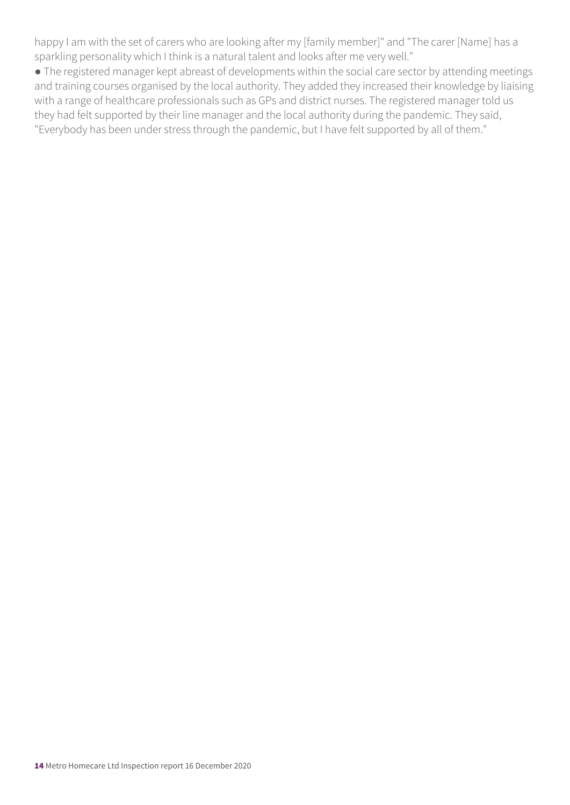happy I am with the set of carers who are looking after my [family member]" and "The carer [Name] has a sparkling personality which I think is a natural talent and looks after me very well."

● The registered manager kept abreast of developments within the social care sector by attending meetings and training courses organised by the local authority. They added they increased their knowledge by liaising with a range of healthcare professionals such as GPs and district nurses. The registered manager told us they had felt supported by their line manager and the local authority during the pandemic. They said, "Everybody has been under stress through the pandemic, but I have felt supported by all of them."